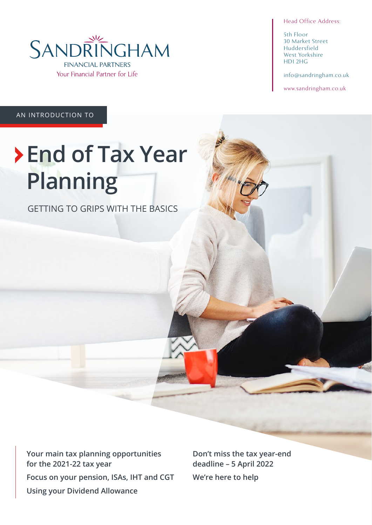Head Office Address:

5th Floor 30 Market Street Huddersfield West Yorkshire HD1 2HG

info@sandringham.co.uk

www.sandringham.co.uk

AN INTRODUCTION TO

## **End of Tax Year Planning**

SANDRINGHAM

**FINANCIAL PARTNERS** Your Financial Partner for Life

GETTING TO GRIPS WITH THE BASICS

**Your main tax planning opportunities for the 2021-22 tax year Focus on your pension, ISAs, IHT and CGT Using your Dividend Allowance**

**Don't miss the tax year-end deadline – 5 April 2022 We're here to help**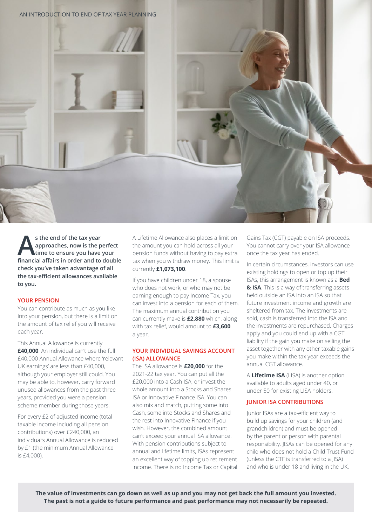

s the end of the tax year<br>
approaches, now is the perfect<br>
time to ensure you have your<br>
financial affairs in order and to doub **approaches, now is the perfect financial affairs in order and to double check you've taken advantage of all the tax-efficient allowances available to you.**

#### **YOUR PENSION**

You can contribute as much as you like into your pension, but there is a limit on the amount of tax relief you will receive each year.

This Annual Allowance is currently **£40,000**. An individual can't use the full £40,000 Annual Allowance where 'relevant UK earnings' are less than £40,000, although your employer still could. You may be able to, however, carry forward unused allowances from the past three years, provided you were a pension scheme member during those years.

For every £2 of adjusted income (total taxable income including all pension contributions) over £240,000, an individual's Annual Allowance is reduced by £1 (the minimum Annual Allowance is £4,000).

A Lifetime Allowance also places a limit on the amount you can hold across all your pension funds without having to pay extra tax when you withdraw money. This limit is currently **£1,073,100**.

If you have children under 18, a spouse who does not work, or who may not be earning enough to pay Income Tax, you can invest into a pension for each of them. The maximum annual contribution you can currently make is **£2,880** which, along with tax relief, would amount to **£3,600** a year.

#### **YOUR INDIVIDUAL SAVINGS ACCOUNT (ISA) ALLOWANCE**

The ISA allowance is **£20,000** for the 2021-22 tax year. You can put all the £20,000 into a Cash ISA, or invest the whole amount into a Stocks and Shares ISA or Innovative Finance ISA. You can also mix and match, putting some into Cash, some into Stocks and Shares and the rest into Innovative Finance if you wish. However, the combined amount can't exceed your annual ISA allowance. With pension contributions subject to annual and lifetime limits, ISAs represent an excellent way of topping up retirement income. There is no Income Tax or Capital Gains Tax (CGT) payable on ISA proceeds. You cannot carry over your ISA allowance once the tax year has ended.

In certain circumstances, investors can use existing holdings to open or top up their ISAs, this arrangement is known as a **Bed & ISA**. This is a way of transferring assets held outside an ISA into an ISA so that future investment income and growth are sheltered from tax. The investments are sold, cash is transferred into the ISA and the investments are repurchased. Charges apply and you could end up with a CGT liability if the gain you make on selling the asset together with any other taxable gains you make within the tax year exceeds the annual CGT allowance.

A **Lifetime ISA** (LISA) is another option available to adults aged under 40, or under 50 for existing LISA holders.

#### **JUNIOR ISA CONTRIBUTIONS**

Junior ISAs are a tax-efficient way to build up savings for your children (and grandchildren) and must be opened by the parent or person with parental responsibility. JISAs can be opened for any child who does not hold a Child Trust Fund (unless the CTF is transferred to a JISA) and who is under 18 and living in the UK.

**The value of investments can go down as well as up and you may not get back the full amount you invested. The past is not a guide to future performance and past performance may not necessarily be repeated.**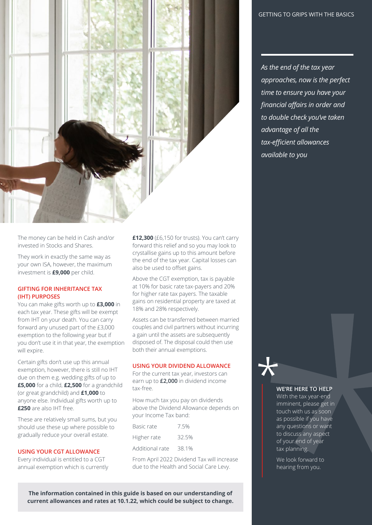

*As the end of the tax year approaches, now is the perfect time to ensure you have your financial affairs in order and to double check you've taken advantage of all the tax-efficient allowances available to you*

The money can be held in Cash and/or invested in Stocks and Shares.

They work in exactly the same way as your own ISA, however, the maximum investment is **£9,000** per child.

#### **GIFTING FOR INHERITANCE TAX (IHT) PURPOSES**

You can make gifts worth up to **£3,000** in each tax year. These gifts will be exempt from IHT on your death. You can carry forward any unused part of the £3,000 exemption to the following year but if you don't use it in that year, the exemption will expire.

Certain gifts don't use up this annual exemption, however, there is still no IHT due on them e.g. wedding gifts of up to **£5,000** for a child, **£2,500** for a grandchild (or great grandchild) and **£1,000** to anyone else. Individual gifts worth up to **£250** are also IHT free.

These are relatively small sums, but you should use these up where possible to gradually reduce your overall estate.

#### **USING YOUR CGT ALLOWANCE**

Every individual is entitled to a CGT annual exemption which is currently **£12,300** (£6,150 for trusts). You can't carry forward this relief and so you may look to crystallise gains up to this amount before the end of the tax year. Capital losses can also be used to offset gains.

Above the CGT exemption, tax is payable at 10% for basic rate tax-payers and 20% for higher rate tax payers. The taxable gains on residential property are taxed at 18% and 28% respectively.

Assets can be transferred between married couples and civil partners without incurring a gain until the assets are subsequently disposed of. The disposal could then use both their annual exemptions.

#### **USING YOUR DIVIDEND ALLOWANCE**

For the current tax year, investors can earn up to **£2,000** in dividend income tax-free.

How much tax you pay on dividends above the Dividend Allowance depends on your Income Tax band:

| Basic rate      | 75%   |
|-----------------|-------|
| Higher rate     | 32.5% |
| Additional rate | 38 1% |

From April 2022 Dividend Tax will increase due to the Health and Social Care Levy.

With the tax year-end

imminent, please get in touch with us as soon as possible if you have any questions or want to discuss any aspect of your end of year tax planning.

**WE'RE HERE TO HELP**

We look forward to hearing from you.

**The information contained in this guide is based on our understanding of current allowances and rates at 10.1.22, which could be subject to change.**